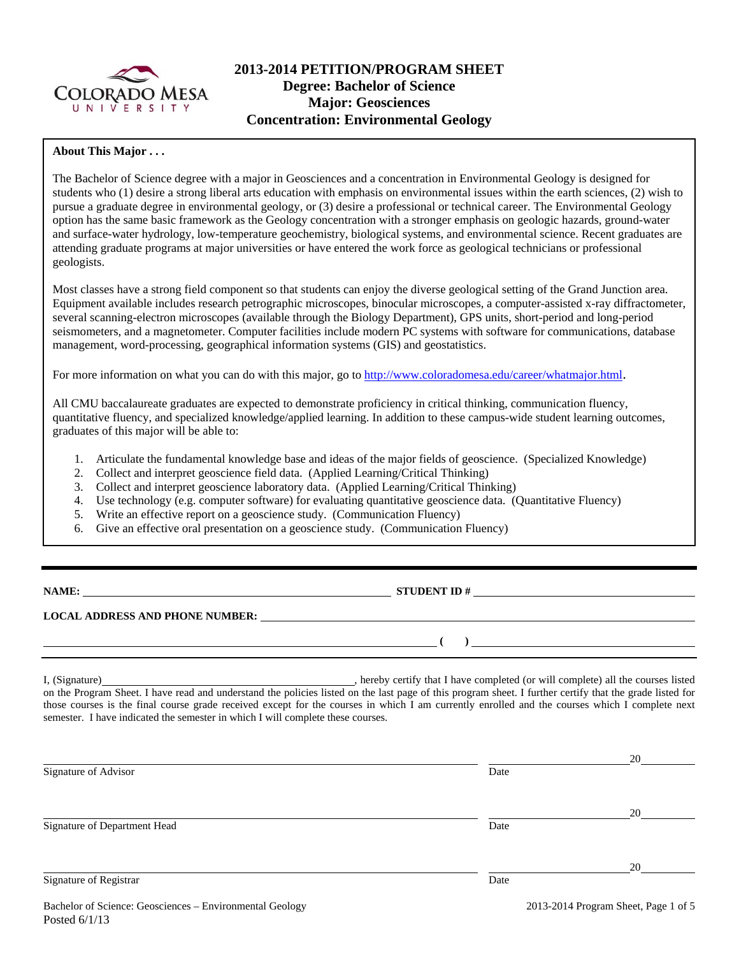

# **2013-2014 PETITION/PROGRAM SHEET Degree: Bachelor of Science Major: Geosciences Concentration: Environmental Geology**

### **About This Major . . .**

The Bachelor of Science degree with a major in Geosciences and a concentration in Environmental Geology is designed for students who (1) desire a strong liberal arts education with emphasis on environmental issues within the earth sciences, (2) wish to pursue a graduate degree in environmental geology, or (3) desire a professional or technical career. The Environmental Geology option has the same basic framework as the Geology concentration with a stronger emphasis on geologic hazards, ground-water and surface-water hydrology, low-temperature geochemistry, biological systems, and environmental science. Recent graduates are attending graduate programs at major universities or have entered the work force as geological technicians or professional geologists.

Most classes have a strong field component so that students can enjoy the diverse geological setting of the Grand Junction area. Equipment available includes research petrographic microscopes, binocular microscopes, a computer-assisted x-ray diffractometer, several scanning-electron microscopes (available through the Biology Department), GPS units, short-period and long-period seismometers, and a magnetometer. Computer facilities include modern PC systems with software for communications, database management, word-processing, geographical information systems (GIS) and geostatistics.

For more information on what you can do with this major, go to http://www.coloradomesa.edu/career/whatmajor.html.

All CMU baccalaureate graduates are expected to demonstrate proficiency in critical thinking, communication fluency, quantitative fluency, and specialized knowledge/applied learning. In addition to these campus-wide student learning outcomes, graduates of this major will be able to:

- 1. Articulate the fundamental knowledge base and ideas of the major fields of geoscience. (Specialized Knowledge)
- 2. Collect and interpret geoscience field data. (Applied Learning/Critical Thinking)
- 3. Collect and interpret geoscience laboratory data. (Applied Learning/Critical Thinking)
- 4. Use technology (e.g. computer software) for evaluating quantitative geoscience data. (Quantitative Fluency)
- 5. Write an effective report on a geoscience study. (Communication Fluency)
- 6. Give an effective oral presentation on a geoscience study. (Communication Fluency)

**NAMES IN STUDENT ID #** <u>NAMES IS STUDENT ID #</u>

 **( )** 

### **LOCAL ADDRESS AND PHONE NUMBER:**

I, (Signature) , hereby certify that I have completed (or will complete) all the courses listed on the Program Sheet. I have read and understand the policies listed on the last page of this program sheet. I further certify that the grade listed for those courses is the final course grade received except for the courses in which I am currently enrolled and the courses which I complete next semester. I have indicated the semester in which I will complete these courses.

| Signature of Advisor         | Date | 20 |
|------------------------------|------|----|
| Signature of Department Head | Date | 20 |
| Signature of Registrar       | Date | 20 |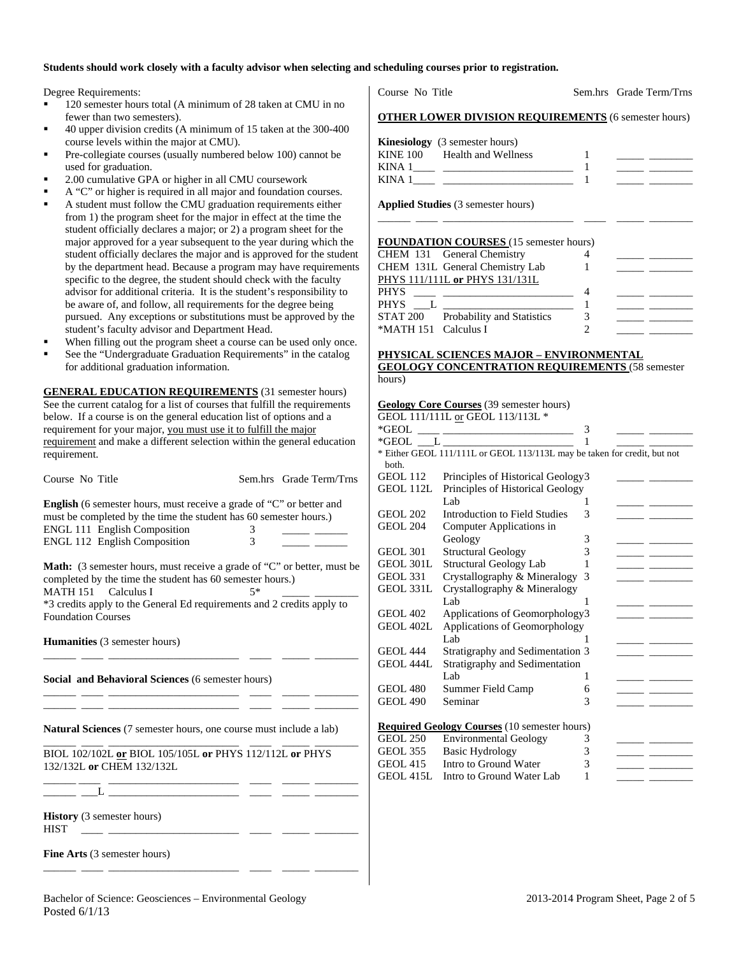#### **Students should work closely with a faculty advisor when selecting and scheduling courses prior to registration.**

Degree Requirements:

- 120 semester hours total (A minimum of 28 taken at CMU in no fewer than two semesters).
- 40 upper division credits (A minimum of 15 taken at the 300-400 course levels within the major at CMU).
- Pre-collegiate courses (usually numbered below 100) cannot be used for graduation.
- 2.00 cumulative GPA or higher in all CMU coursework
- A "C" or higher is required in all major and foundation courses.
- A student must follow the CMU graduation requirements either from 1) the program sheet for the major in effect at the time the student officially declares a major; or 2) a program sheet for the major approved for a year subsequent to the year during which the student officially declares the major and is approved for the student by the department head. Because a program may have requirements specific to the degree, the student should check with the faculty advisor for additional criteria. It is the student's responsibility to be aware of, and follow, all requirements for the degree being pursued. Any exceptions or substitutions must be approved by the student's faculty advisor and Department Head.
- When filling out the program sheet a course can be used only once.
- See the "Undergraduate Graduation Requirements" in the catalog for additional graduation information.

**GENERAL EDUCATION REQUIREMENTS** (31 semester hours) See the current catalog for a list of courses that fulfill the requirements below. If a course is on the general education list of options and a requirement for your major, you must use it to fulfill the major requirement and make a different selection within the general education requirement.

**English** (6 semester hours, must receive a grade of "C" or better and must be completed by the time the student has 60 semester hours.) ENGL 111 English Composition 3 ENGL 112 English Composition 3

Course No Title Sem.hrs Grade Term/Trns

**Math:** (3 semester hours, must receive a grade of "C" or better, must be completed by the time the student has 60 semester hours.)<br>MATH 151 Calculus I  $5*$ 

 $MATH 151$  Calculus I \*3 credits apply to the General Ed requirements and 2 credits apply to Foundation Courses

\_\_\_\_\_\_ \_\_\_\_ \_\_\_\_\_\_\_\_\_\_\_\_\_\_\_\_\_\_\_\_\_\_\_\_ \_\_\_\_ \_\_\_\_\_ \_\_\_\_\_\_\_\_

\_\_\_\_\_\_ \_\_\_\_ \_\_\_\_\_\_\_\_\_\_\_\_\_\_\_\_\_\_\_\_\_\_\_\_ \_\_\_\_ \_\_\_\_\_ \_\_\_\_\_\_\_\_ \_\_\_\_\_\_ \_\_\_\_ \_\_\_\_\_\_\_\_\_\_\_\_\_\_\_\_\_\_\_\_\_\_\_\_ \_\_\_\_ \_\_\_\_\_ \_\_\_\_\_\_\_\_

**Humanities** (3 semester hours)

**Social and Behavioral Sciences** (6 semester hours)

**Natural Sciences** (7 semester hours, one course must include a lab)

\_\_\_\_\_\_ \_\_\_\_ \_\_\_\_\_\_\_\_\_\_\_\_\_\_\_\_\_\_\_\_\_\_\_\_ \_\_\_\_ \_\_\_\_\_ \_\_\_\_\_\_\_\_ BIOL 102/102L **or** BIOL 105/105L **or** PHYS 112/112L **or** PHYS 132/132L **or** CHEM 132/132L

\_\_\_\_\_\_ \_\_\_\_ \_\_\_\_\_\_\_\_\_\_\_\_\_\_\_\_\_\_\_\_\_\_\_\_ \_\_\_\_ \_\_\_\_\_ \_\_\_\_\_\_\_\_

\_\_\_\_\_\_ \_\_\_\_ \_\_\_\_\_\_\_\_\_\_\_\_\_\_\_\_\_\_\_\_\_\_\_\_ \_\_\_\_ \_\_\_\_\_ \_\_\_\_\_\_\_\_

\_\_\_\_\_\_ \_\_\_L \_\_\_\_\_\_\_\_\_\_\_\_\_\_\_\_\_\_\_\_\_\_\_\_ \_\_\_\_ \_\_\_\_\_ \_\_\_\_\_\_\_\_

**History** (3 semester hours)  $HIST \quad \_\_\_\_\_\_$ 

**Fine Arts** (3 semester hours)

Course No Title Sem.hrs Grade Term/Trns

#### **OTHER LOWER DIVISION REQUIREMENTS** (6 semester hours)

|        | <b>Kinesiology</b> (3 semester hours) |  |
|--------|---------------------------------------|--|
|        | KINE 100 Health and Wellness          |  |
| KINA 1 |                                       |  |
| KINA 1 |                                       |  |

\_\_\_\_\_\_ \_\_\_\_ \_\_\_\_\_\_\_\_\_\_\_\_\_\_\_\_\_\_\_\_\_\_\_\_ \_\_\_\_ \_\_\_\_\_ \_\_\_\_\_\_\_\_

**Applied Studies** (3 semester hours)

#### **FOUNDATION COURSES** (15 semester hours)

| CHEM 131 General Chemistry                                   |  |
|--------------------------------------------------------------|--|
| CHEM 131L General Chemistry Lab                              |  |
| PHYS 111/111L or PHYS 131/131L                               |  |
| <b>PHYS</b><br><u> 1980 - Jan James Alexandri, manatar a</u> |  |
| PHYS L                                                       |  |
| STAT 200 Probability and Statistics                          |  |
| *MATH 151 Calculus I                                         |  |
|                                                              |  |

#### **PHYSICAL SCIENCES MAJOR – ENVIRONMENTAL GEOLOGY CONCENTRATION REQUIREMENTS** (58 semester hours)

## **Geology Core Courses** (39 semester hours)

|                 | GEOL 111/111L or GEOL 113/113L *                                         |   |  |
|-----------------|--------------------------------------------------------------------------|---|--|
|                 | *GEOL $\_\_$                                                             | 3 |  |
|                 | $*GEOL$ $L$ $\qquad$                                                     |   |  |
|                 | * Either GEOL 111/111L or GEOL 113/113L may be taken for credit, but not |   |  |
| both.           |                                                                          |   |  |
| <b>GEOL 112</b> | Principles of Historical Geology3                                        |   |  |
| GEOL 112L       | Principles of Historical Geology                                         |   |  |
|                 | Lab.                                                                     | 1 |  |
| <b>GEOL 202</b> | Introduction to Field Studies                                            | 3 |  |
| <b>GEOL 204</b> | Computer Applications in                                                 |   |  |
|                 | Geology                                                                  | 3 |  |
| <b>GEOL 301</b> | <b>Structural Geology</b>                                                | 3 |  |
| GEOL 301L       | Structural Geology Lab                                                   |   |  |
| <b>GEOL 331</b> | Crystallography & Mineralogy                                             | 3 |  |
| GEOL 331L       | Crystallography & Mineralogy                                             |   |  |
|                 | Lab                                                                      | 1 |  |
| <b>GEOL 402</b> | Applications of Geomorphology3                                           |   |  |
| GEOL 402L       | Applications of Geomorphology                                            |   |  |
|                 | Lab                                                                      |   |  |
| <b>GEOL 444</b> | Stratigraphy and Sedimentation 3                                         |   |  |
| GEOL 444L       | Stratigraphy and Sedimentation                                           |   |  |
|                 | Lab.                                                                     | 1 |  |
| <b>GEOL 480</b> | Summer Field Camp                                                        | 6 |  |
| <b>GEOL 490</b> | Seminar                                                                  | 3 |  |
|                 |                                                                          |   |  |
|                 | <b>Required Geology Courses</b> (10 semester hours)                      |   |  |
|                 |                                                                          |   |  |

| GEOL 250 | <b>Environmental Geology</b>        |                |  |
|----------|-------------------------------------|----------------|--|
| GEOL 355 | Basic Hydrology                     | $\mathfrak{I}$ |  |
| GEOL 415 | Intro to Ground Water               | 3              |  |
|          | GEOL 415L Intro to Ground Water Lab |                |  |
|          |                                     |                |  |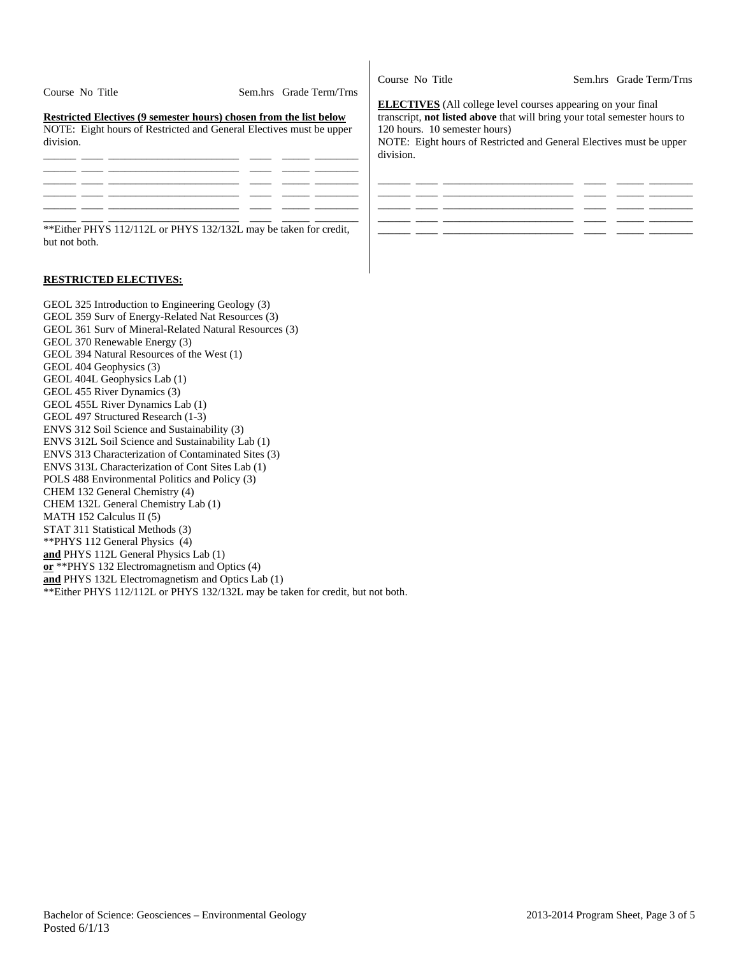| Course No Title                                                                                                                                        | Sem.hrs Grade Term/Trns |
|--------------------------------------------------------------------------------------------------------------------------------------------------------|-------------------------|
| Restricted Electives (9 semester hours) chosen from the list below<br>NOTE: Eight hours of Restricted and General Electives must be upper<br>division. |                         |
|                                                                                                                                                        |                         |
|                                                                                                                                                        |                         |
|                                                                                                                                                        |                         |

\*\*Either PHYS 112/112L or PHYS 132/132L may be taken for credit, but not both.

### **RESTRICTED ELECTIVES:**

GEOL 325 Introduction to Engineering Geology (3) GEOL 359 Surv of Energy-Related Nat Resources (3) GEOL 361 Surv of Mineral-Related Natural Resources (3) GEOL 370 Renewable Energy (3) GEOL 394 Natural Resources of the West (1) GEOL 404 Geophysics (3) GEOL 404L Geophysics Lab (1) GEOL 455 River Dynamics (3) GEOL 455L River Dynamics Lab (1) GEOL 497 Structured Research (1-3) ENVS 312 Soil Science and Sustainability (3) ENVS 312L Soil Science and Sustainability Lab (1) ENVS 313 Characterization of Contaminated Sites (3) ENVS 313L Characterization of Cont Sites Lab (1) POLS 488 Environmental Politics and Policy (3) CHEM 132 General Chemistry (4) CHEM 132L General Chemistry Lab (1) MATH 152 Calculus II (5) STAT 311 Statistical Methods (3) \*\*PHYS 112 General Physics (4) **and** PHYS 112L General Physics Lab (1) **or** \*\*PHYS 132 Electromagnetism and Optics (4) **and** PHYS 132L Electromagnetism and Optics Lab (1) \*\*Either PHYS 112/112L or PHYS 132/132L may be taken for credit, but not both.

Course No Title Sem.hrs Grade Term/Trns

**ELECTIVES** (All college level courses appearing on your final transcript, **not listed above** that will bring your total semester hours to 120 hours. 10 semester hours) NOTE: Eight hours of Restricted and General Electives must be upper

division.

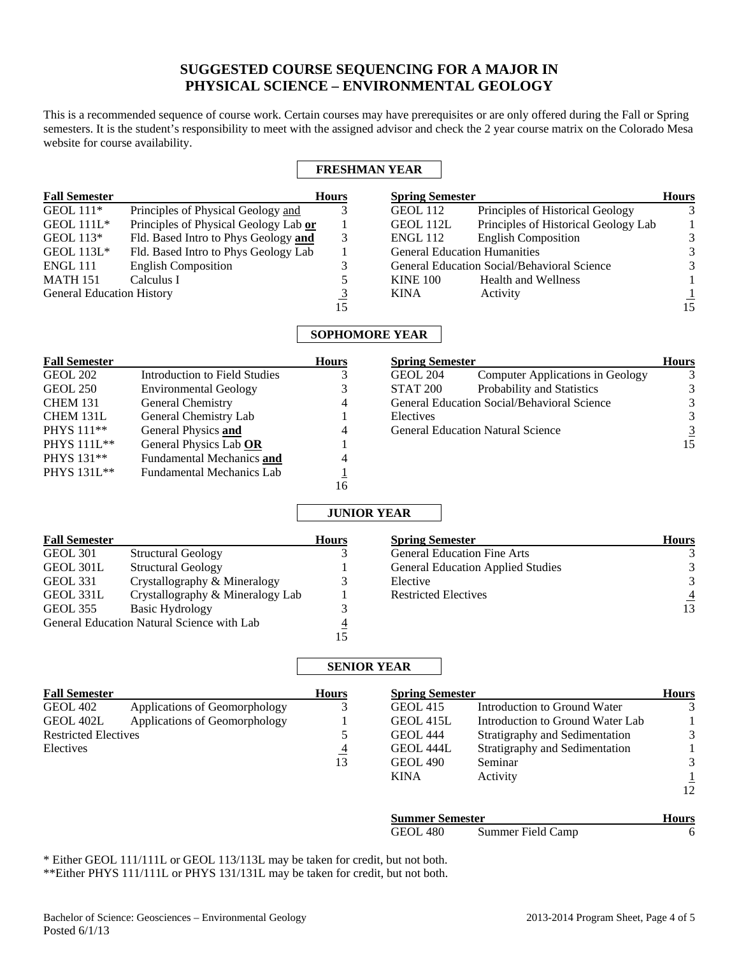# **SUGGESTED COURSE SEQUENCING FOR A MAJOR IN PHYSICAL SCIENCE – ENVIRONMENTAL GEOLOGY**

This is a recommended sequence of course work. Certain courses may have prerequisites or are only offered during the Fall or Spring semesters. It is the student's responsibility to meet with the assigned advisor and check the 2 year course matrix on the Colorado Mesa website for course availability.

## **FRESHMAN YEAR**

| <b>Fall Semester</b>             |                                       | <b>Hours</b> | <b>Spring Semester</b>              |                                             | <b>Hours</b> |
|----------------------------------|---------------------------------------|--------------|-------------------------------------|---------------------------------------------|--------------|
| GEOL $111*$                      | Principles of Physical Geology and    |              | GEOL 112                            | Principles of Historical Geology            | 3            |
| <b>GEOL 111L*</b>                | Principles of Physical Geology Lab or |              | GEOL 112L                           | Principles of Historical Geology Lab        |              |
| GEOL 113*                        | Fld. Based Intro to Phys Geology and  | 3            | <b>ENGL 112</b>                     | <b>English Composition</b>                  | 3            |
| <b>GEOL 113L*</b>                | Fld. Based Intro to Phys Geology Lab  |              | <b>General Education Humanities</b> |                                             |              |
| ENGL 111                         | <b>English Composition</b>            |              |                                     | General Education Social/Behavioral Science | 3            |
| <b>MATH 151</b>                  | Calculus I                            |              | <b>KINE 100</b>                     | <b>Health and Wellness</b>                  |              |
| <b>General Education History</b> |                                       |              | <b>KINA</b>                         | Activity                                    |              |
|                                  |                                       | 15           |                                     |                                             | 15           |

## **SOPHOMORE YEAR**

| <b>Fall Semester</b> |                                  | <b>Hours</b> | <b>Spring Semester</b> |                                                    | <b>Hours</b> |
|----------------------|----------------------------------|--------------|------------------------|----------------------------------------------------|--------------|
| <b>GEOL 202</b>      | Introduction to Field Studies    |              | <b>GEOL 204</b>        | <b>Computer Applications in Geology</b>            | 3            |
| GEOL 250             | <b>Environmental Geology</b>     | 3            | STAT <sub>200</sub>    | Probability and Statistics                         | 3            |
| <b>CHEM 131</b>      | General Chemistry                | 4            |                        | <b>General Education Social/Behavioral Science</b> | 3            |
| CHEM 131L            | General Chemistry Lab            |              | Electives              |                                                    | 3            |
| PHYS 111**           | General Physics and              | 4            |                        | <b>General Education Natural Science</b>           | 3            |
| PHYS 111L**          | General Physics Lab OR           |              |                        |                                                    | 15           |
| PHYS 131**           | Fundamental Mechanics and        | 4            |                        |                                                    |              |
| <b>PHYS</b> 131L**   | <b>Fundamental Mechanics Lab</b> |              |                        |                                                    |              |
|                      |                                  | 16           |                        |                                                    |              |

## **JUNIOR YEAR**

| <b>Fall Semester</b> |                                            | <b>Hours</b> | <b>Spring Semester</b>                   | <b>Hours</b> |
|----------------------|--------------------------------------------|--------------|------------------------------------------|--------------|
| GEOL 301             | <b>Structural Geology</b>                  |              | <b>General Education Fine Arts</b>       |              |
| GEOL 301L            | <b>Structural Geology</b>                  |              | <b>General Education Applied Studies</b> | 3            |
| <b>GEOL 331</b>      | Crystallography & Mineralogy               |              | Elective                                 | 3            |
| GEOL 331L            | Crystallography & Mineralogy Lab           |              | <b>Restricted Electives</b>              |              |
| GEOL 355             | Basic Hydrology                            |              |                                          | 13           |
|                      | General Education Natural Science with Lab | 4            |                                          |              |
|                      |                                            |              |                                          |              |

## **SENIOR YEAR**

| <b>Fall Semester</b>        |                               | <b>Hours</b>   | <b>Spring Semester</b> |                                  | <b>Hours</b> |
|-----------------------------|-------------------------------|----------------|------------------------|----------------------------------|--------------|
| <b>GEOL 402</b>             | Applications of Geomorphology | 3              | <b>GEOL 415</b>        | Introduction to Ground Water     | 3            |
| GEOL 402L                   | Applications of Geomorphology |                | GEOL 415L              | Introduction to Ground Water Lab |              |
| <b>Restricted Electives</b> |                               | 5              | <b>GEOL 444</b>        | Stratigraphy and Sedimentation   | 3            |
| Electives                   |                               | $\overline{4}$ | GEOL 444L              | Stratigraphy and Sedimentation   |              |
|                             |                               | 13             | <b>GEOL 490</b>        | Seminar                          | 3            |
|                             |                               |                | <b>KINA</b>            | Activity                         |              |
|                             |                               |                |                        |                                  | 12           |
|                             |                               |                | <b>Summer Semester</b> |                                  | <b>Hours</b> |
|                             |                               |                | GEOL 480               | Summer Field Camp                | 6            |

\* Either GEOL 111/111L or GEOL 113/113L may be taken for credit, but not both. \*\*Either PHYS 111/111L or PHYS 131/131L may be taken for credit, but not both.